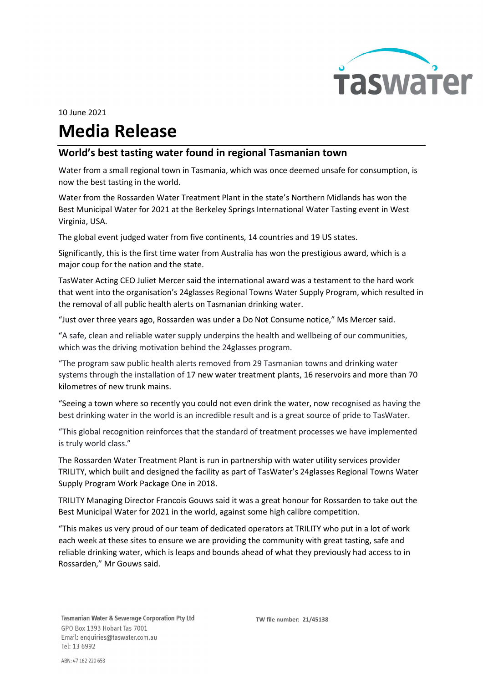

## 10 June 2021 Media Release

## World's best tasting water found in regional Tasmanian town

Water from a small regional town in Tasmania, which was once deemed unsafe for consumption, is now the best tasting in the world.

Water from the Rossarden Water Treatment Plant in the state's Northern Midlands has won the Best Municipal Water for 2021 at the Berkeley Springs International Water Tasting event in West Virginia, USA.

The global event judged water from five continents, 14 countries and 19 US states.

Significantly, this is the first time water from Australia has won the prestigious award, which is a major coup for the nation and the state.

TasWater Acting CEO Juliet Mercer said the international award was a testament to the hard work that went into the organisation's 24glasses Regional Towns Water Supply Program, which resulted in the removal of all public health alerts on Tasmanian drinking water.

"Just over three years ago, Rossarden was under a Do Not Consume notice," Ms Mercer said.

"A safe, clean and reliable water supply underpins the health and wellbeing of our communities, which was the driving motivation behind the 24glasses program.

"The program saw public health alerts removed from 29 Tasmanian towns and drinking water systems through the installation of 17 new water treatment plants, 16 reservoirs and more than 70 kilometres of new trunk mains.

"Seeing a town where so recently you could not even drink the water, now recognised as having the best drinking water in the world is an incredible result and is a great source of pride to TasWater.

"This global recognition reinforces that the standard of treatment processes we have implemented is truly world class."

The Rossarden Water Treatment Plant is run in partnership with water utility services provider TRILITY, which built and designed the facility as part of TasWater's 24glasses Regional Towns Water Supply Program Work Package One in 2018.

TRILITY Managing Director Francois Gouws said it was a great honour for Rossarden to take out the Best Municipal Water for 2021 in the world, against some high calibre competition.

"This makes us very proud of our team of dedicated operators at TRILITY who put in a lot of work each week at these sites to ensure we are providing the community with great tasting, safe and reliable drinking water, which is leaps and bounds ahead of what they previously had access to in Rossarden," Mr Gouws said.